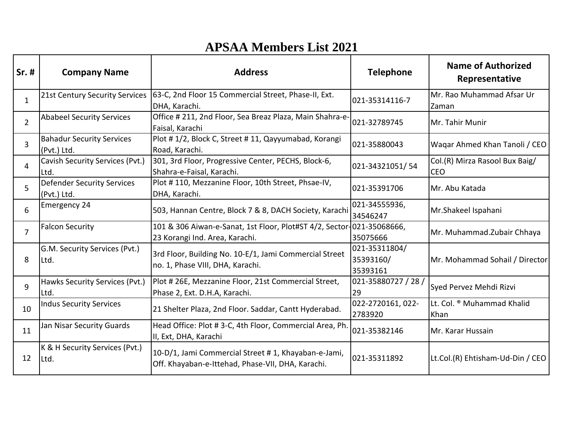## **APSAA Members List 2021**

| Sr. #          | <b>Company Name</b>                              | <b>Address</b>                                                                                           | <b>Telephone</b>                       | <b>Name of Authorized</b><br>Representative |
|----------------|--------------------------------------------------|----------------------------------------------------------------------------------------------------------|----------------------------------------|---------------------------------------------|
| $\mathbf{1}$   | 21st Century Security Services                   | 63-C, 2nd Floor 15 Commercial Street, Phase-II, Ext.<br>DHA, Karachi.                                    | 021-35314116-7                         | Mr. Rao Muhammad Afsar Ur<br>Zaman          |
| $\overline{2}$ | <b>Ababeel Security Services</b>                 | Office # 211, 2nd Floor, Sea Breaz Plaza, Main Shahra-e-<br>Faisal, Karachi                              | 021-32789745                           | Mr. Tahir Munir                             |
| $\overline{3}$ | <b>Bahadur Security Services</b><br>(Pvt.) Ltd.  | Plot #1/2, Block C, Street #11, Qayyumabad, Korangi<br>Road, Karachi.                                    | 021-35880043                           | Waqar Ahmed Khan Tanoli / CEO               |
| 4              | Cavish Security Services (Pvt.)<br>Ltd.          | 301, 3rd Floor, Progressive Center, PECHS, Block-6,<br>Shahra-e-Faisal, Karachi.                         | 021-34321051/54                        | Col.(R) Mirza Rasool Bux Baig/<br>ICEO      |
| 5              | <b>Defender Security Services</b><br>(Pvt.) Ltd. | Plot #110, Mezzanine Floor, 10th Street, Phsae-IV,<br>DHA, Karachi.                                      | 021-35391706                           | Mr. Abu Katada                              |
| 6              | <b>Emergency 24</b>                              | 503, Hannan Centre, Block 7 & 8, DACH Society, Karachi                                                   | 021-34555936,<br>34546247              | Mr.Shakeel Ispahani                         |
| $\overline{7}$ | <b>Falcon Security</b>                           | 101 & 306 Aiwan-e-Sanat, 1st Floor, Plot#ST 4/2, Sector-021-35068666,<br>23 Korangi Ind. Area, Karachi.  | 35075666                               | Mr. Muhammad.Zubair Chhaya                  |
| 8              | G.M. Security Services (Pvt.)<br>Ltd.            | 3rd Floor, Building No. 10-E/1, Jami Commercial Street<br>no. 1, Phase VIII, DHA, Karachi.               | 021-35311804/<br>35393160/<br>35393161 | Mr. Mohammad Sohail / Director              |
| 9              | Hawks Security Services (Pvt.)<br>Ltd.           | Plot # 26E, Mezzanine Floor, 21st Commercial Street,<br>Phase 2, Ext. D.H.A, Karachi.                    | 021-35880727 / 28 /<br>29              | Syed Pervez Mehdi Rizvi                     |
| 10             | <b>Indus Security Services</b>                   | 21 Shelter Plaza, 2nd Floor. Saddar, Cantt Hyderabad.                                                    | 022-2720161, 022-<br>2783920           | Lt. Col. ® Muhammad Khalid<br>Khan          |
| 11             | Jan Nisar Security Guards                        | Head Office: Plot #3-C, 4th Floor, Commercial Area, Ph.<br>II, Ext, DHA, Karachi                         | 021-35382146                           | Mr. Karar Hussain                           |
| 12             | K & H Security Services (Pvt.)<br>Ltd.           | 10-D/1, Jami Commercial Street #1, Khayaban-e-Jami,<br>Off. Khayaban-e-Ittehad, Phase-VII, DHA, Karachi. | 021-35311892                           | Lt.Col.(R) Ehtisham-Ud-Din / CEO            |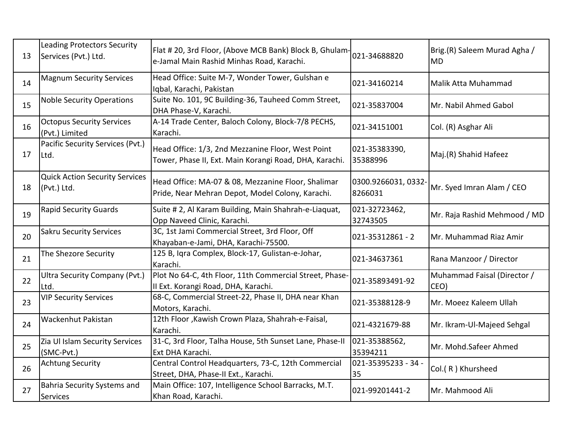| 13 | Leading Protectors Security<br>Services (Pvt.) Ltd.   | Flat # 20, 3rd Floor, (Above MCB Bank) Block B, Ghulam-<br>e-Jamal Main Rashid Minhas Road, Karachi.        | 021-34688820                   | Brig.(R) Saleem Murad Agha /<br><b>MD</b> |
|----|-------------------------------------------------------|-------------------------------------------------------------------------------------------------------------|--------------------------------|-------------------------------------------|
| 14 | <b>Magnum Security Services</b>                       | Head Office: Suite M-7, Wonder Tower, Gulshan e<br>Iqbal, Karachi, Pakistan                                 | 021-34160214                   | Malik Atta Muhammad                       |
| 15 | <b>Noble Security Operations</b>                      | Suite No. 101, 9C Building-36, Tauheed Comm Street,<br>DHA Phase-V, Karachi.                                | 021-35837004                   | Mr. Nabil Ahmed Gabol                     |
| 16 | <b>Octopus Security Services</b><br>(Pvt.) Limited    | A-14 Trade Center, Baloch Colony, Block-7/8 PECHS,<br>Karachi.                                              | 021-34151001                   | Col. (R) Asghar Ali                       |
| 17 | Pacific Security Services (Pvt.)<br>Ltd.              | Head Office: 1/3, 2nd Mezzanine Floor, West Point<br>Tower, Phase II, Ext. Main Korangi Road, DHA, Karachi. | 021-35383390,<br>35388996      | Maj.(R) Shahid Hafeez                     |
| 18 | <b>Quick Action Security Services</b><br>(Pvt.) Ltd.  | Head Office: MA-07 & 08, Mezzanine Floor, Shalimar<br>Pride, Near Mehran Depot, Model Colony, Karachi.      | 0300.9266031, 0332-<br>8266031 | Mr. Syed Imran Alam / CEO                 |
| 19 | <b>Rapid Security Guards</b>                          | Suite # 2, Al Karam Building, Main Shahrah-e-Liaquat,<br>Opp Naveed Clinic, Karachi.                        | 021-32723462,<br>32743505      | Mr. Raja Rashid Mehmood / MD              |
| 20 | <b>Sakru Security Services</b>                        | 3C, 1st Jami Commercial Street, 3rd Floor, Off<br>Khayaban-e-Jami, DHA, Karachi-75500.                      | 021-35312861 - 2               | Mr. Muhammad Riaz Amir                    |
| 21 | The Shezore Security                                  | 125 B, Iqra Complex, Block-17, Gulistan-e-Johar,<br>Karachi.                                                | 021-34637361                   | Rana Manzoor / Director                   |
| 22 | <b>Ultra Security Company (Pvt.)</b><br>Ltd.          | Plot No 64-C, 4th Floor, 11th Commercial Street, Phase-<br>II Ext. Korangi Road, DHA, Karachi.              | 021-35893491-92                | Muhammad Faisal (Director /<br>CEO)       |
| 23 | <b>VIP Security Services</b>                          | 68-C, Commercial Street-22, Phase II, DHA near Khan<br>Motors, Karachi.                                     | 021-35388128-9                 | Mr. Moeez Kaleem Ullah                    |
| 24 | Wackenhut Pakistan                                    | 12th Floor, Kawish Crown Plaza, Shahrah-e-Faisal,<br>Karachi.                                               | 021-4321679-88                 | Mr. Ikram-Ul-Majeed Sehgal                |
| 25 | Zia Ul Islam Security Services<br>(SMC-Pvt.)          | 31-C, 3rd Floor, Talha House, 5th Sunset Lane, Phase-II<br>Ext DHA Karachi.                                 | 021-35388562,<br>35394211      | Mr. Mohd.Safeer Ahmed                     |
| 26 | <b>Achtung Security</b>                               | Central Control Headquarters, 73-C, 12th Commercial<br>Street, DHA, Phase-II Ext., Karachi.                 | 021-35395233 - 34 -<br>35      | Col.(R) Khursheed                         |
| 27 | <b>Bahria Security Systems and</b><br><b>Services</b> | Main Office: 107, Intelligence School Barracks, M.T.<br>Khan Road, Karachi.                                 | 021-99201441-2                 | Mr. Mahmood Ali                           |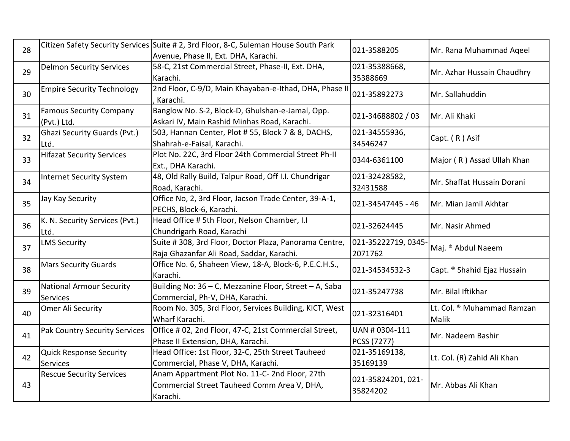| 28 |                                                    | Citizen Safety Security Services Suite # 2, 3rd Floor, 8-C, Suleman House South Park<br>Avenue, Phase II, Ext. DHA, Karachi. | 021-3588205                    | Mr. Rana Muhammad Aqeel                    |
|----|----------------------------------------------------|------------------------------------------------------------------------------------------------------------------------------|--------------------------------|--------------------------------------------|
| 29 | <b>Delmon Security Services</b>                    | 58-C, 21st Commercial Street, Phase-II, Ext. DHA,<br>Karachi.                                                                | 021-35388668,<br>35388669      | Mr. Azhar Hussain Chaudhry                 |
| 30 | <b>Empire Security Technology</b>                  | 2nd Floor, C-9/D, Main Khayaban-e-Ithad, DHA, Phase II<br>, Karachi.                                                         | 021-35892273                   | Mr. Sallahuddin                            |
| 31 | <b>Famous Security Company</b><br>(Pvt.) Ltd.      | Banglow No. S-2, Block-D, Ghulshan-e-Jamal, Opp.<br>Askari IV, Main Rashid Minhas Road, Karachi.                             | 021-34688802 / 03              | Mr. Ali Khaki                              |
| 32 | <b>Ghazi Security Guards (Pvt.)</b><br>Ltd.        | 503, Hannan Center, Plot #55, Block 7 & 8, DACHS,<br>Shahrah-e-Faisal, Karachi.                                              | 021-34555936,<br>34546247      | Capt. (R) Asif                             |
| 33 | <b>Hifazat Security Services</b>                   | Plot No. 22C, 3rd Floor 24th Commercial Street Ph-II<br>Ext., DHA Karachi.                                                   | 0344-6361100                   | Major (R) Assad Ullah Khan                 |
| 34 | <b>Internet Security System</b>                    | 48, Old Rally Build, Talpur Road, Off I.I. Chundrigar<br>Road, Karachi.                                                      | 021-32428582,<br>32431588      | Mr. Shaffat Hussain Dorani                 |
| 35 | Jay Kay Security                                   | Office No, 2, 3rd Floor, Jacson Trade Center, 39-A-1,<br>PECHS, Block-6, Karachi.                                            | 021-34547445 - 46              | Mr. Mian Jamil Akhtar                      |
| 36 | K. N. Security Services (Pvt.)<br>Ltd.             | Head Office # 5th Floor, Nelson Chamber, I.I<br>Chundrigarh Road, Karachi                                                    | 021-32624445                   | Mr. Nasir Ahmed                            |
| 37 | <b>LMS Security</b>                                | Suite # 308, 3rd Floor, Doctor Plaza, Panorama Centre,<br>Raja Ghazanfar Ali Road, Saddar, Karachi.                          | 021-35222719, 0345<br>2071762  | Maj. ® Abdul Naeem                         |
| 38 | <b>Mars Security Guards</b>                        | Office No. 6, Shaheen View, 18-A, Block-6, P.E.C.H.S.,<br>Karachi.                                                           | 021-34534532-3                 | Capt. ® Shahid Ejaz Hussain                |
| 39 | <b>National Armour Security</b><br><b>Services</b> | Building No: 36 - C, Mezzanine Floor, Street - A, Saba<br>Commercial, Ph-V, DHA, Karachi.                                    | 021-35247738                   | Mr. Bilal Iftikhar                         |
| 40 | Omer Ali Security                                  | Room No. 305, 3rd Floor, Services Building, KICT, West<br>Wharf Karachi.                                                     | 021-32316401                   | Lt. Col. ® Muhammad Ramzan<br><b>Malik</b> |
| 41 | <b>Pak Country Security Services</b>               | Office # 02, 2nd Floor, 47-C, 21st Commercial Street,<br>Phase II Extension, DHA, Karachi.                                   | UAN # 0304-111<br>PCSS (7277)  | Mr. Nadeem Bashir                          |
| 42 | <b>Quick Response Security</b><br>Services         | Head Office: 1st Floor, 32-C, 25th Street Tauheed<br>Commercial, Phase V, DHA, Karachi.                                      | 021-35169138,<br>35169139      | Lt. Col. (R) Zahid Ali Khan                |
| 43 | <b>Rescue Security Services</b>                    | Anam Appartment Plot No. 11-C-2nd Floor, 27th<br>Commercial Street Tauheed Comm Area V, DHA,<br>Karachi.                     | 021-35824201, 021-<br>35824202 | Mr. Abbas Ali Khan                         |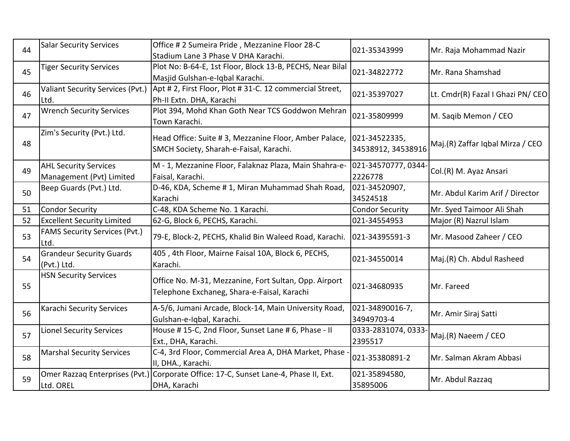| 44 | <b>Salar Security Services</b>                           | Office # 2 Sumeira Pride, Mezzanine Floor 28-C<br>Stadium Lane 3 Phase V DHA Karachi.                | 021-35343999                        | Mr. Raja Mohammad Nazir           |
|----|----------------------------------------------------------|------------------------------------------------------------------------------------------------------|-------------------------------------|-----------------------------------|
| 45 | <b>Tiger Security Services</b>                           | Plot No: B-64-E, 1st Floor, Block 13-B, PECHS, Near Bilal<br>Masjid Gulshan-e-Iqbal Karachi.         | 021-34822772                        | Mr. Rana Shamshad                 |
| 46 | Valiant Security Services (Pvt.)<br>Ltd.                 | Apt # 2, First Floor, Plot # 31-C. 12 commercial Street,<br>Ph-II Extn. DHA, Karachi                 | 021-35397027                        | Lt. Cmdr(R) Fazal I Ghazi PN/ CEO |
| 47 | <b>Wrench Security Services</b>                          | Plot 394, Mohd Khan Goth Near TCS Goddwon Mehran<br>Town Karachi.                                    | 021-35809999                        | M. Saqib Memon / CEO              |
| 48 | Zim's Security (Pvt.) Ltd.                               | Head Office: Suite #3, Mezzanine Floor, Amber Palace,<br>SMCH Society, Sharah-e-Faisal, Karachi.     | 021-34522335,<br>34538912, 34538916 | Maj.(R) Zaffar Iqbal Mirza / CEO  |
| 49 | <b>AHL Security Services</b><br>Management (Pvt) Limited | M - 1, Mezzanine Floor, Falaknaz Plaza, Main Shahra-e-<br>Faisal, Karachi.                           | 021-34570777, 0344<br>2226778       | Col.(R) M. Ayaz Ansari            |
| 50 | Beep Guards (Pvt.) Ltd.                                  | D-46, KDA, Scheme # 1, Miran Muhammad Shah Road,<br>Karachi                                          | 021-34520907,<br>34524518           | Mr. Abdul Karim Arif / Director   |
| 51 | <b>Condor Security</b>                                   | C-48, KDA Scheme No. 1 Karachi.                                                                      | <b>Condor Security</b>              | Mr. Syed Taimoor Ali Shah         |
| 52 | <b>Excellent Security Limited</b>                        | 62-G, Block 6, PECHS, Karachi.                                                                       | 021-34554953                        | Major (R) Nazrul Islam            |
| 53 | <b>FAMS Security Services (Pvt.)</b><br>Ltd.             | 79-E, Block-2, PECHS, Khalid Bin Waleed Road, Karachi.                                               | 021-34395591-3                      | Mr. Masood Zaheer / CEO           |
| 54 | <b>Grandeur Security Guards</b><br>(Pvt.) Ltd.           | 405, 4th Floor, Mairne Faisal 10A, Block 6, PECHS,<br>Karachi.                                       | 021-34550014                        | Maj.(R) Ch. Abdul Rasheed         |
| 55 | <b>HSN Security Services</b>                             | Office No. M-31, Mezzanine, Fort Sultan, Opp. Airport<br>Telephone Exchaneg, Shara-e-Faisal, Karachi | 021-34680935                        | Mr. Fareed                        |
| 56 | Karachi Security Services                                | A-5/6, Jumani Arcade, Block-14, Main University Road,<br>Gulshan-e-Iqbal, Karachi.                   | 021-34890016-7,<br>34949703-4       | Mr. Amir Siraj Satti              |
| 57 | <b>Lionel Security Services</b>                          | House #15-C, 2nd Floor, Sunset Lane #6, Phase - II<br>Ext., DHA, Karachi.                            | 0333-2831074, 0333<br>2395517       | Maj.(R) Naeem / CEO               |
| 58 | <b>Marshal Security Services</b>                         | C-4, 3rd Floor, Commercial Area A, DHA Market, Phase<br>II, DHA., Karachi.                           | 021-35380891-2                      | Mr. Salman Akram Abbasi           |
| 59 | Omer Razzaq Enterprises (Pvt.)<br>Ltd. OREL              | Corporate Office: 17-C, Sunset Lane-4, Phase II, Ext.<br>DHA, Karachi                                | 021-35894580,<br>35895006           | Mr. Abdul Razzaq                  |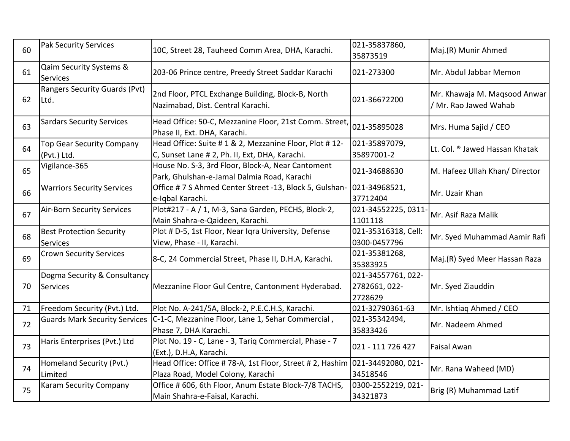| 60 | <b>Pak Security Services</b>                    | 10C, Street 28, Tauheed Comm Area, DHA, Karachi.                                                                  | 021-35837860,<br>35873519                      | Maj.(R) Munir Ahmed                                   |
|----|-------------------------------------------------|-------------------------------------------------------------------------------------------------------------------|------------------------------------------------|-------------------------------------------------------|
| 61 | Qaim Security Systems &<br>Services             | 203-06 Prince centre, Preedy Street Saddar Karachi                                                                | 021-273300                                     | Mr. Abdul Jabbar Memon                                |
| 62 | <b>Rangers Security Guards (Pvt)</b><br>Ltd.    | 2nd Floor, PTCL Exchange Building, Block-B, North<br>Nazimabad, Dist. Central Karachi.                            | 021-36672200                                   | Mr. Khawaja M. Maqsood Anwar<br>/ Mr. Rao Jawed Wahab |
| 63 | <b>Sardars Security Services</b>                | Head Office: 50-C, Mezzanine Floor, 21st Comm. Street,<br>Phase II, Ext. DHA, Karachi.                            | 021-35895028                                   | Mrs. Huma Sajid / CEO                                 |
| 64 | <b>Top Gear Security Company</b><br>(Pvt.) Ltd. | Head Office: Suite # 1 & 2, Mezzanine Floor, Plot # 12-<br>C, Sunset Lane # 2, Ph. II, Ext, DHA, Karachi.         | 021-35897079,<br>35897001-2                    | Lt. Col. ® Jawed Hassan Khatak                        |
| 65 | Vigilance-365                                   | House No. S-3, 3rd Floor, Block-A, Near Cantoment<br>Park, Ghulshan-e-Jamal Dalmia Road, Karachi                  | 021-34688630                                   | M. Hafeez Ullah Khan/ Director                        |
| 66 | <b>Warriors Security Services</b>               | Office # 7 S Ahmed Center Street -13, Block 5, Gulshan-<br>e-Iqbal Karachi.                                       | 021-34968521,<br>37712404                      | Mr. Uzair Khan                                        |
| 67 | <b>Air-Born Security Services</b>               | Plot#217 - A / 1, M-3, Sana Garden, PECHS, Block-2,<br>Main Shahra-e-Qaideen, Karachi.                            | 021-34552225, 0311<br>1101118                  | Mr. Asif Raza Malik                                   |
| 68 | <b>Best Protection Security</b><br>Services     | Plot # D-5, 1st Floor, Near Iqra University, Defense<br>View, Phase - II, Karachi.                                | 021-35316318, Cell:<br>0300-0457796            | Mr. Syed Muhammad Aamir Rafi                          |
| 69 | <b>Crown Security Services</b>                  | 8-C, 24 Commercial Street, Phase II, D.H.A, Karachi.                                                              | 021-35381268,<br>35383925                      | Maj.(R) Syed Meer Hassan Raza                         |
| 70 | Dogma Security & Consultancy<br>Services        | Mezzanine Floor Gul Centre, Cantonment Hyderabad.                                                                 | 021-34557761, 022-<br>2782661, 022-<br>2728629 | Mr. Syed Ziauddin                                     |
| 71 | Freedom Security (Pvt.) Ltd.                    | Plot No. A-241/5A, Block-2, P.E.C.H.S, Karachi.                                                                   | 021-32790361-63                                | Mr. Ishtiaq Ahmed / CEO                               |
| 72 | <b>Guards Mark Security Services</b>            | C-1-C, Mezzanine Floor, Lane 1, Sehar Commercial,<br>Phase 7, DHA Karachi.                                        | 021-35342494,<br>35833426                      | Mr. Nadeem Ahmed                                      |
| 73 | Haris Enterprises (Pvt.) Ltd                    | Plot No. 19 - C, Lane - 3, Tariq Commercial, Phase - 7<br>(Ext.), D.H.A, Karachi.                                 | 021 - 111 726 427                              | <b>Faisal Awan</b>                                    |
| 74 | Homeland Security (Pvt.)<br>Limited             | Head Office: Office # 78-A, 1st Floor, Street # 2, Hashim 021-34492080, 021-<br>Plaza Road, Model Colony, Karachi | 34518546                                       | Mr. Rana Waheed (MD)                                  |
| 75 | Karam Security Company                          | Office # 606, 6th Floor, Anum Estate Block-7/8 TACHS,<br>Main Shahra-e-Faisal, Karachi.                           | 0300-2552219, 021-<br>34321873                 | Brig (R) Muhammad Latif                               |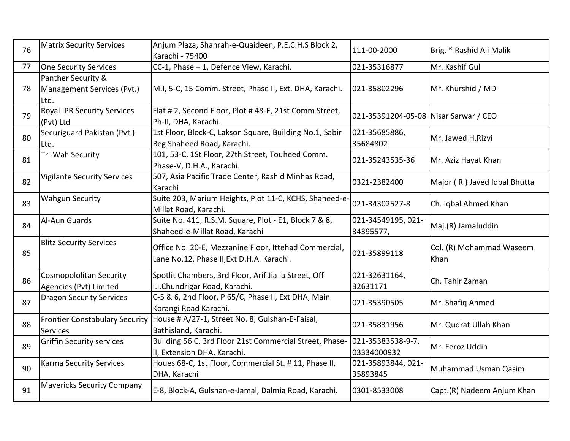| 76 | <b>Matrix Security Services</b>                          | Anjum Plaza, Shahrah-e-Quaideen, P.E.C.H.S Block 2,<br>Karachi - 75400                             | 111-00-2000                           | Brig. ® Rashid Ali Malik         |
|----|----------------------------------------------------------|----------------------------------------------------------------------------------------------------|---------------------------------------|----------------------------------|
| 77 | One Security Services                                    | CC-1, Phase - 1, Defence View, Karachi.                                                            | 021-35316877                          | Mr. Kashif Gul                   |
| 78 | Panther Security &<br>Management Services (Pvt.)<br>Ltd. | M.I, 5-C, 15 Comm. Street, Phase II, Ext. DHA, Karachi.                                            | 021-35802296                          | Mr. Khurshid / MD                |
| 79 | <b>Royal IPR Security Services</b><br>(Pvt) Ltd          | Flat # 2, Second Floor, Plot # 48-E, 21st Comm Street,<br>Ph-II, DHA, Karachi.                     | 021-35391204-05-08 Nisar Sarwar / CEO |                                  |
| 80 | Securiguard Pakistan (Pvt.)<br>Ltd.                      | 1st Floor, Block-C, Lakson Square, Building No.1, Sabir<br>Beg Shaheed Road, Karachi.              | 021-35685886,<br>35684802             | Mr. Jawed H.Rizvi                |
| 81 | Tri-Wah Security                                         | 101, 53-C, 1St Floor, 27th Street, Touheed Comm.<br>Phase-V, D.H.A., Karachi.                      | 021-35243535-36                       | Mr. Aziz Hayat Khan              |
| 82 | <b>Vigilante Security Services</b>                       | 507, Asia Pacific Trade Center, Rashid Minhas Road,<br>Karachi                                     | 0321-2382400                          | Major (R) Javed Iqbal Bhutta     |
| 83 | <b>Wahgun Security</b>                                   | Suite 203, Marium Heights, Plot 11-C, KCHS, Shaheed-e-<br>Millat Road, Karachi.                    | 021-34302527-8                        | Ch. Iqbal Ahmed Khan             |
| 84 | Al-Aun Guards                                            | Suite No. 411, R.S.M. Square, Plot - E1, Block 7 & 8,<br>Shaheed-e-Millat Road, Karachi            | 021-34549195, 021-<br>34395577,       | Maj.(R) Jamaluddin               |
| 85 | <b>Blitz Security Services</b>                           | Office No. 20-E, Mezzanine Floor, Ittehad Commercial,<br>Lane No.12, Phase II, Ext D.H.A. Karachi. | 021-35899118                          | Col. (R) Mohammad Waseem<br>Khan |
| 86 | <b>Cosmopololitan Security</b><br>Agencies (Pvt) Limited | Spotlit Chambers, 3rd Floor, Arif Jia ja Street, Off<br>I.I.Chundrigar Road, Karachi.              | 021-32631164,<br>32631171             | Ch. Tahir Zaman                  |
| 87 | <b>Dragon Security Services</b>                          | C-5 & 6, 2nd Floor, P 65/C, Phase II, Ext DHA, Main<br>Korangi Road Karachi.                       | 021-35390505                          | Mr. Shafiq Ahmed                 |
| 88 | <b>Frontier Constabulary Security</b><br>Services        | House # A/27-1, Street No. 8, Gulshan-E-Faisal,<br>Bathisland, Karachi.                            | 021-35831956                          | Mr. Qudrat Ullah Khan            |
| 89 | <b>Griffin Security services</b>                         | Building 56 C, 3rd Floor 21st Commercial Street, Phase-<br>II, Extension DHA, Karachi.             | 021-35383538-9-7,<br>03334000932      | Mr. Feroz Uddin                  |
| 90 | <b>Karma Security Services</b>                           | Houes 68-C, 1st Floor, Commercial St. # 11, Phase II,<br>DHA, Karachi                              | 021-35893844, 021-<br>35893845        | Muhammad Usman Qasim             |
| 91 | <b>Mavericks Security Company</b>                        | E-8, Block-A, Gulshan-e-Jamal, Dalmia Road, Karachi.                                               | 0301-8533008                          | Capt.(R) Nadeem Anjum Khan       |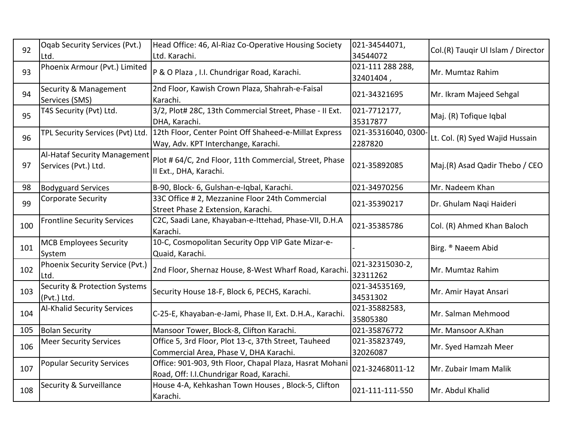| 92  | Oqab Security Services (Pvt.)            | Head Office: 46, Al-Riaz Co-Operative Housing Society    | 021-34544071,      | Col.(R) Taugir Ul Islam / Director |
|-----|------------------------------------------|----------------------------------------------------------|--------------------|------------------------------------|
|     | Ltd.                                     | Ltd. Karachi.                                            | 34544072           |                                    |
| 93  | Phoenix Armour (Pvt.) Limited            | P & O Plaza, I.I. Chundrigar Road, Karachi.              | 021-111 288 288,   | Mr. Mumtaz Rahim                   |
|     |                                          |                                                          | 32401404,          |                                    |
| 94  | Security & Management                    | 2nd Floor, Kawish Crown Plaza, Shahrah-e-Faisal          | 021-34321695       | Mr. Ikram Majeed Sehgal            |
|     | Services (SMS)                           | Karachi.                                                 |                    |                                    |
| 95  | T4S Security (Pvt) Ltd.                  | 3/2, Plot# 28C, 13th Commercial Street, Phase - II Ext.  | 021-7712177,       | Maj. (R) Tofique Iqbal             |
|     |                                          | DHA, Karachi.                                            | 35317877           |                                    |
| 96  | TPL Security Services (Pvt) Ltd.         | 12th Floor, Center Point Off Shaheed-e-Millat Express    | 021-35316040, 0300 | Lt. Col. (R) Syed Wajid Hussain    |
|     |                                          | Way, Adv. KPT Interchange, Karachi.                      | 2287820            |                                    |
|     | Al-Hataf Security Management             | Plot # 64/C, 2nd Floor, 11th Commercial, Street, Phase   |                    |                                    |
| 97  | Services (Pvt.) Ltd.                     | II Ext., DHA, Karachi.                                   | 021-35892085       | Maj.(R) Asad Qadir Thebo / CEO     |
|     |                                          |                                                          |                    |                                    |
| 98  | <b>Bodyguard Services</b>                | B-90, Block- 6, Gulshan-e-Iqbal, Karachi.                | 021-34970256       | Mr. Nadeem Khan                    |
| 99  | <b>Corporate Security</b>                | 33C Office # 2, Mezzanine Floor 24th Commercial          | 021-35390217       | Dr. Ghulam Naqi Haideri            |
|     |                                          | Street Phase 2 Extension, Karachi.                       |                    |                                    |
| 100 | <b>Frontline Security Services</b>       | C2C, Saadi Lane, Khayaban-e-Ittehad, Phase-VII, D.H.A    | 021-35385786       | Col. (R) Ahmed Khan Baloch         |
|     |                                          | Karachi.                                                 |                    |                                    |
| 101 | <b>MCB Employees Security</b>            | 10-C, Cosmopolitan Security Opp VIP Gate Mizar-e-        |                    | Birg. ® Naeem Abid                 |
|     | System                                   | Quaid, Karachi.                                          |                    |                                    |
| 102 | Phoenix Security Service (Pvt.)          | 2nd Floor, Shernaz House, 8-West Wharf Road, Karachi     | 021-32315030-2,    | Mr. Mumtaz Rahim                   |
|     | Ltd.                                     |                                                          | 32311262           |                                    |
| 103 | <b>Security &amp; Protection Systems</b> | Security House 18-F, Block 6, PECHS, Karachi.            | 021-34535169,      | Mr. Amir Hayat Ansari              |
|     | (Pvt.) Ltd.                              |                                                          | 34531302           |                                    |
| 104 | <b>Al-Khalid Security Services</b>       | C-25-E, Khayaban-e-Jami, Phase II, Ext. D.H.A., Karachi. | 021-35882583,      | Mr. Salman Mehmood                 |
|     |                                          |                                                          | 35805380           |                                    |
| 105 | <b>Bolan Security</b>                    | Mansoor Tower, Block-8, Clifton Karachi.                 | 021-35876772       | Mr. Mansoor A.Khan                 |
| 106 | <b>Meer Security Services</b>            | Office 5, 3rd Floor, Plot 13-c, 37th Street, Tauheed     | 021-35823749,      | Mr. Syed Hamzah Meer               |
|     |                                          | Commercial Area, Phase V, DHA Karachi.                   | 32026087           |                                    |
| 107 | <b>Popular Security Services</b>         | Office: 901-903, 9th Floor, Chapal Plaza, Hasrat Mohani  | 021-32468011-12    | Mr. Zubair Imam Malik              |
|     |                                          | Road, Off: I.I.Chundrigar Road, Karachi.                 |                    |                                    |
| 108 | Security & Surveillance                  | House 4-A, Kehkashan Town Houses, Block-5, Clifton       | 021-111-111-550    | Mr. Abdul Khalid                   |
|     |                                          | Karachi.                                                 |                    |                                    |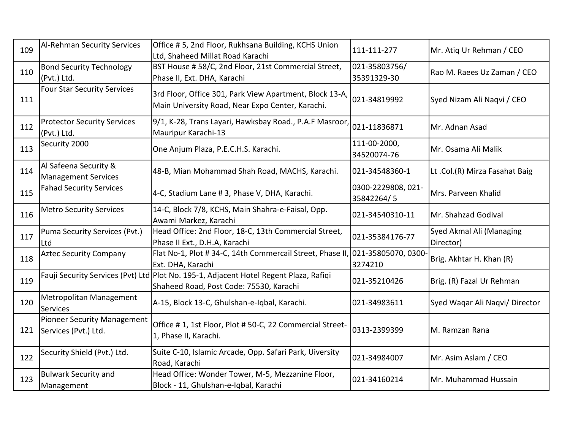| 109 | Al-Rehman Security Services                                | Office #5, 2nd Floor, Rukhsana Building, KCHS Union<br>Ltd, Shaheed Millat Road Karachi                                          | 111-111-277                      | Mr. Atiq Ur Rehman / CEO              |
|-----|------------------------------------------------------------|----------------------------------------------------------------------------------------------------------------------------------|----------------------------------|---------------------------------------|
| 110 | <b>Bond Security Technology</b><br>(Pvt.) Ltd.             | BST House # 58/C, 2nd Floor, 21st Commercial Street,<br>Phase II, Ext. DHA, Karachi                                              | 021-35803756/<br>35391329-30     | Rao M. Raees Uz Zaman / CEO           |
| 111 | <b>Four Star Security Services</b>                         | 3rd Floor, Office 301, Park View Apartment, Block 13-A,<br>Main University Road, Near Expo Center, Karachi.                      | 021-34819992                     | Syed Nizam Ali Naqvi / CEO            |
| 112 | <b>Protector Security Services</b><br>(Pvt.) Ltd.          | 9/1, K-28, Trans Layari, Hawksbay Road., P.A.F Masroor<br>Mauripur Karachi-13                                                    | 021-11836871                     | Mr. Adnan Asad                        |
| 113 | Security 2000                                              | One Anjum Plaza, P.E.C.H.S. Karachi.                                                                                             | 111-00-2000,<br>34520074-76      | Mr. Osama Ali Malik                   |
| 114 | Al Safeena Security &<br><b>Management Services</b>        | 48-B, Mian Mohammad Shah Road, MACHS, Karachi.                                                                                   | 021-34548360-1                   | Lt.Col.(R) Mirza Fasahat Baig         |
| 115 | <b>Fahad Security Services</b>                             | 4-C, Stadium Lane # 3, Phase V, DHA, Karachi.                                                                                    | 0300-2229808, 021-<br>35842264/5 | Mrs. Parveen Khalid                   |
| 116 | <b>Metro Security Services</b>                             | 14-C, Block 7/8, KCHS, Main Shahra-e-Faisal, Opp.<br>Awami Markez, Karachi                                                       | 021-34540310-11                  | Mr. Shahzad Godival                   |
| 117 | Puma Security Services (Pvt.)<br>Ltd                       | Head Office: 2nd Floor, 18-C, 13th Commercial Street,<br>Phase II Ext., D.H.A, Karachi                                           | 021-35384176-77                  | Syed Akmal Ali (Managing<br>Director) |
| 118 | <b>Aztec Security Company</b>                              | Flat No-1, Plot # 34-C, 14th Commercail Street, Phase II<br>Ext. DHA, Karachi                                                    | 021-35805070, 0300<br>3274210    | Brig. Akhtar H. Khan (R)              |
| 119 |                                                            | Fauji Security Services (Pvt) Ltd Plot No. 195-1, Adjacent Hotel Regent Plaza, Rafiqi<br>Shaheed Road, Post Code: 75530, Karachi | 021-35210426                     | Brig. (R) Fazal Ur Rehman             |
| 120 | Metropolitan Management<br><b>Services</b>                 | A-15, Block 13-C, Ghulshan-e-Iqbal, Karachi.                                                                                     | 021-34983611                     | Syed Waqar Ali Naqvi/ Director        |
| 121 | <b>Pioneer Security Management</b><br>Services (Pvt.) Ltd. | Office # 1, 1st Floor, Plot # 50-C, 22 Commercial Street-<br>1, Phase II, Karachi.                                               | 0313-2399399                     | M. Ramzan Rana                        |
| 122 | Security Shield (Pvt.) Ltd.                                | Suite C-10, Islamic Arcade, Opp. Safari Park, Uiversity<br>Road, Karachi                                                         | 021-34984007                     | Mr. Asim Aslam / CEO                  |
| 123 | <b>Bulwark Security and</b><br>Management                  | Head Office: Wonder Tower, M-5, Mezzanine Floor,<br>Block - 11, Ghulshan-e-Iqbal, Karachi                                        | 021-34160214                     | Mr. Muhammad Hussain                  |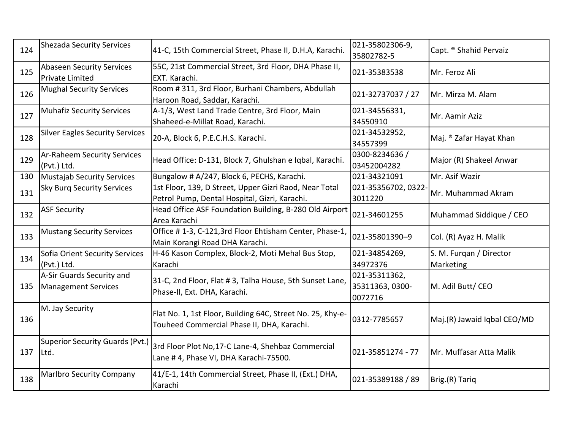| 124 | <b>Shezada Security Services</b>                           | 41-C, 15th Commercial Street, Phase II, D.H.A, Karachi.                                                  | 021-35802306-9,<br>35802782-5               | Capt. ® Shahid Pervaiz               |
|-----|------------------------------------------------------------|----------------------------------------------------------------------------------------------------------|---------------------------------------------|--------------------------------------|
| 125 | <b>Abaseen Security Services</b><br><b>Private Limited</b> | 55C, 21st Commercial Street, 3rd Floor, DHA Phase II,<br>EXT. Karachi.                                   | 021-35383538                                | Mr. Feroz Ali                        |
| 126 | <b>Mughal Security Services</b>                            | Room # 311, 3rd Floor, Burhani Chambers, Abdullah<br>Haroon Road, Saddar, Karachi.                       | 021-32737037 / 27                           | Mr. Mirza M. Alam                    |
| 127 | <b>Muhafiz Security Services</b>                           | A-1/3, West Land Trade Centre, 3rd Floor, Main<br>Shaheed-e-Millat Road, Karachi.                        | 021-34556331,<br>34550910                   | Mr. Aamir Aziz                       |
| 128 | <b>Silver Eagles Security Services</b>                     | 20-A, Block 6, P.E.C.H.S. Karachi.                                                                       | 021-34532952,<br>34557399                   | Maj. ® Zafar Hayat Khan              |
| 129 | <b>Ar-Raheem Security Services</b><br>(Pvt.) Ltd.          | Head Office: D-131, Block 7, Ghulshan e Iqbal, Karachi.                                                  | 0300-8234636 /<br>03452004282               | Major (R) Shakeel Anwar              |
| 130 | Mustajab Security Services                                 | Bungalow # A/247, Block 6, PECHS, Karachi.                                                               | 021-34321091                                | Mr. Asif Wazir                       |
| 131 | <b>Sky Burg Security Services</b>                          | 1st Floor, 139, D Street, Upper Gizri Raod, Near Total<br>Petrol Pump, Dental Hospital, Gizri, Karachi.  | 021-35356702, 0322<br>3011220               | Mr. Muhammad Akram                   |
| 132 | <b>ASF Security</b>                                        | Head Office ASF Foundation Building, B-280 Old Airport<br>Area Karachi                                   | 021-34601255                                | Muhammad Siddique / CEO              |
| 133 | <b>Mustang Security Services</b>                           | Office #1-3, C-121,3rd Floor Ehtisham Center, Phase-1,<br>Main Korangi Road DHA Karachi.                 | 021-35801390-9                              | Col. (R) Ayaz H. Malik               |
| 134 | Sofia Orient Security Services<br>(Pvt.) Ltd.              | H-46 Kason Complex, Block-2, Moti Mehal Bus Stop,<br>Karachi                                             | 021-34854269,<br>34972376                   | S. M. Furgan / Director<br>Marketing |
| 135 | A-Sir Guards Security and<br>Management Services           | 31-C, 2nd Floor, Flat # 3, Talha House, 5th Sunset Lane,<br>Phase-II, Ext. DHA, Karachi.                 | 021-35311362,<br>35311363, 0300-<br>0072716 | M. Adil Butt/CEO                     |
| 136 | M. Jay Security                                            | Flat No. 1, 1st Floor, Building 64C, Street No. 25, Khy-e-<br>Touheed Commercial Phase II, DHA, Karachi. | 0312-7785657                                | Maj.(R) Jawaid Iqbal CEO/MD          |
| 137 | <b>Superior Security Guards (Pvt.)</b><br>Ltd.             | 3rd Floor Plot No, 17-C Lane-4, Shehbaz Commercial<br>Lane # 4, Phase VI, DHA Karachi-75500.             | 021-35851274 - 77                           | Mr. Muffasar Atta Malik              |
| 138 | <b>Marlbro Security Company</b>                            | 41/E-1, 14th Commercial Street, Phase II, (Ext.) DHA,<br>Karachi                                         | 021-35389188 / 89                           | Brig.(R) Tariq                       |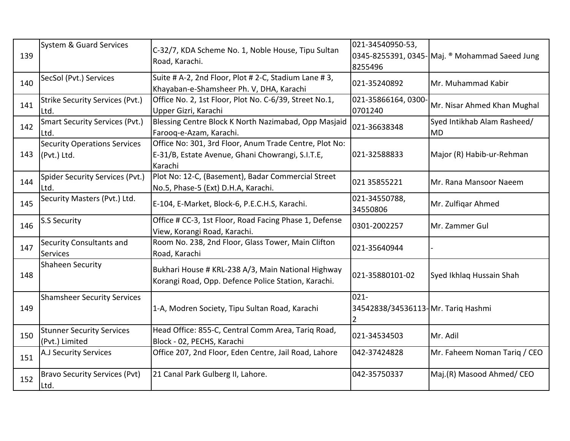| 139 | System & Guard Services                            | C-32/7, KDA Scheme No. 1, Noble House, Tipu Sultan<br>Road, Karachi.                                                  | 021-34540950-53,<br>8255496                        | 0345-8255391, 0345- Maj. ® Mohammad Saeed Jung |
|-----|----------------------------------------------------|-----------------------------------------------------------------------------------------------------------------------|----------------------------------------------------|------------------------------------------------|
| 140 | SecSol (Pvt.) Services                             | Suite # A-2, 2nd Floor, Plot # 2-C, Stadium Lane # 3,<br>Khayaban-e-Shamsheer Ph. V, DHA, Karachi                     | 021-35240892                                       | Mr. Muhammad Kabir                             |
| 141 | <b>Strike Security Services (Pvt.)</b><br>lLtd.    | Office No. 2, 1st Floor, Plot No. C-6/39, Street No.1,<br>Upper Gizri, Karachi                                        | 021-35866164,0300<br>0701240                       | Mr. Nisar Ahmed Khan Mughal                    |
| 142 | <b>Smart Security Services (Pvt.)</b><br>Ltd.      | Blessing Centre Block K North Nazimabad, Opp Masjaid<br>Farooq-e-Azam, Karachi.                                       | 021-36638348                                       | Syed Intikhab Alam Rasheed/<br><b>MD</b>       |
| 143 | <b>Security Operations Services</b><br>(Pvt.) Ltd. | Office No: 301, 3rd Floor, Anum Trade Centre, Plot No:<br>E-31/B, Estate Avenue, Ghani Chowrangi, S.I.T.E,<br>Karachi | 021-32588833                                       | Major (R) Habib-ur-Rehman                      |
| 144 | <b>Spider Security Services (Pvt.)</b><br>Ltd.     | Plot No: 12-C, (Basement), Badar Commercial Street<br>No.5, Phase-5 (Ext) D.H.A, Karachi.                             | 021 35855221                                       | Mr. Rana Mansoor Naeem                         |
| 145 | Security Masters (Pvt.) Ltd.                       | E-104, E-Market, Block-6, P.E.C.H.S, Karachi.                                                                         | 021-34550788,<br>34550806                          | Mr. Zulfiqar Ahmed                             |
| 146 | <b>S.S Security</b>                                | Office # CC-3, 1st Floor, Road Facing Phase 1, Defense<br>View, Korangi Road, Karachi.                                | 0301-2002257                                       | Mr. Zammer Gul                                 |
| 147 | Security Consultants and<br><b>Services</b>        | Room No. 238, 2nd Floor, Glass Tower, Main Clifton<br>Road, Karachi                                                   | 021-35640944                                       |                                                |
| 148 | Shaheen Security                                   | Bukhari House # KRL-238 A/3, Main National Highway<br>Korangi Road, Opp. Defence Police Station, Karachi.             | 021-35880101-02                                    | Syed Ikhlaq Hussain Shah                       |
| 149 | <b>Shamsheer Security Services</b>                 | 1-A, Modren Society, Tipu Sultan Road, Karachi                                                                        | $021 -$<br>34542838/34536113-Mr. Tariq Hashmi<br>2 |                                                |
| 150 | <b>Stunner Security Services</b><br>(Pvt.) Limited | Head Office: 855-C, Central Comm Area, Tariq Road,<br>Block - 02, PECHS, Karachi                                      | 021-34534503                                       | Mr. Adil                                       |
| 151 | A.J Security Services                              | Office 207, 2nd Floor, Eden Centre, Jail Road, Lahore                                                                 | 042-37424828                                       | Mr. Faheem Noman Tariq / CEO                   |
| 152 | <b>Bravo Security Services (Pvt)</b><br>Ltd.       | 21 Canal Park Gulberg II, Lahore.                                                                                     | 042-35750337                                       | Maj.(R) Masood Ahmed/ CEO                      |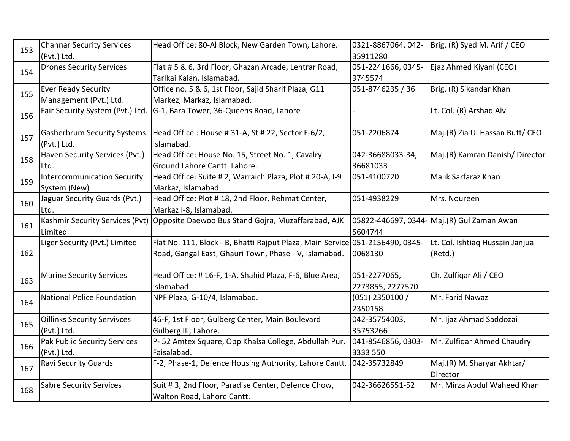| 153 | <b>Channar Security Services</b>   | Head Office: 80-Al Block, New Garden Town, Lahore.                                 | 0321-8867064, 042- | Brig. (R) Syed M. Arif / CEO                |
|-----|------------------------------------|------------------------------------------------------------------------------------|--------------------|---------------------------------------------|
|     | (Pvt.) Ltd.                        |                                                                                    | 35911280           |                                             |
| 154 | <b>Drones Security Services</b>    | Flat # 5 & 6, 3rd Floor, Ghazan Arcade, Lehtrar Road,                              | 051-2241666, 0345- | Ejaz Ahmed Kiyani (CEO)                     |
|     |                                    | Tarlkai Kalan, Islamabad.                                                          | 9745574            |                                             |
| 155 | <b>Ever Ready Security</b>         | Office no. 5 & 6, 1st Floor, Sajid Sharif Plaza, G11                               | 051-8746235 / 36   | Brig. (R) Sikandar Khan                     |
|     | Management (Pvt.) Ltd.             | Markez, Markaz, Islamabad.                                                         |                    |                                             |
| 156 | Fair Security System (Pvt.) Ltd.   | G-1, Bara Tower, 36-Queens Road, Lahore                                            |                    | Lt. Col. (R) Arshad Alvi                    |
|     |                                    |                                                                                    |                    |                                             |
| 157 | <b>Gasherbrum Security Systems</b> | Head Office: House # 31-A, St # 22, Sector F-6/2,                                  | 051-2206874        | Maj.(R) Zia Ul Hassan Butt/ CEO             |
|     | (Pvt.) Ltd.                        | Islamabad.                                                                         |                    |                                             |
| 158 | Haven Security Services (Pvt.)     | Head Office: House No. 15, Street No. 1, Cavalry                                   | 042-36688033-34,   | Maj.(R) Kamran Danish/Director              |
|     | Ltd.                               | Ground Lahore Cantt. Lahore.                                                       | 36681033           |                                             |
| 159 | <b>Intercommunication Security</b> | Head Office: Suite # 2, Warraich Plaza, Plot # 20-A, I-9                           | 051-4100720        | Malik Sarfaraz Khan                         |
|     | System (New)                       | Markaz, Islamabad.                                                                 |                    |                                             |
| 160 | Jaguar Security Guards (Pvt.)      | Head Office: Plot #18, 2nd Floor, Rehmat Center,                                   | 051-4938229        | Mrs. Noureen                                |
|     | Ltd.                               | Markaz I-8, Islamabad.                                                             |                    |                                             |
| 161 |                                    | Kashmir Security Services (Pvt) Opposite Daewoo Bus Stand Gojra, Muzaffarabad, AJK |                    | 05822-446697, 0344- Maj. (R) Gul Zaman Awan |
|     | Limited                            |                                                                                    | 5604744            |                                             |
|     | Liger Security (Pvt.) Limited      | Flat No. 111, Block - B, Bhatti Rajput Plaza, Main Service 051-2156490, 0345-      |                    | Lt. Col. Ishtiaq Hussain Janjua             |
| 162 |                                    | Road, Gangal East, Ghauri Town, Phase - V, Islamabad.                              | 0068130            | (Retd.)                                     |
|     |                                    |                                                                                    |                    |                                             |
| 163 | <b>Marine Security Services</b>    | Head Office: # 16-F, 1-A, Shahid Plaza, F-6, Blue Area,                            | 051-2277065,       | Ch. Zulfiqar Ali / CEO                      |
|     |                                    | Islamabad                                                                          | 2273855, 2277570   |                                             |
|     | <b>National Police Foundation</b>  | NPF Plaza, G-10/4, Islamabad.                                                      | $(051)$ 2350100 /  | Mr. Farid Nawaz                             |
| 164 |                                    |                                                                                    | 2350158            |                                             |
| 165 | <b>Oillinks Security Servivces</b> | 46-F, 1st Floor, Gulberg Center, Main Boulevard                                    | 042-35754003,      | Mr. Ijaz Ahmad Saddozai                     |
|     | (Pvt.) Ltd.                        | Gulberg III, Lahore.                                                               | 35753266           |                                             |
|     | Pak Public Security Services       | P-52 Amtex Square, Opp Khalsa College, Abdullah Pur,                               | 041-8546856, 0303- | Mr. Zulfiqar Ahmed Chaudry                  |
| 166 | (Pvt.) Ltd.                        | Faisalabad.                                                                        | 3333 550           |                                             |
|     | <b>Ravi Security Guards</b>        | F-2, Phase-1, Defence Housing Authority, Lahore Cantt.                             | 042-35732849       | Maj.(R) M. Sharyar Akhtar/                  |
| 167 |                                    |                                                                                    |                    | Director                                    |
|     | <b>Sabre Security Services</b>     | Suit # 3, 2nd Floor, Paradise Center, Defence Chow,                                | 042-36626551-52    | Mr. Mirza Abdul Waheed Khan                 |
| 168 |                                    | Walton Road, Lahore Cantt.                                                         |                    |                                             |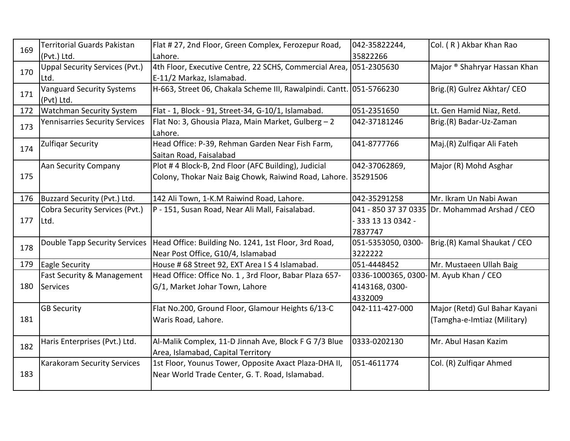| 169 | Territorial Guards Pakistan           | Flat #27, 2nd Floor, Green Complex, Ferozepur Road,                  | 042-35822244,       | Col. (R) Akbar Khan Rao                        |
|-----|---------------------------------------|----------------------------------------------------------------------|---------------------|------------------------------------------------|
|     | (Pvt.) Ltd.                           | Lahore.                                                              | 35822266            |                                                |
| 170 | <b>Uppal Security Services (Pvt.)</b> | 4th Floor, Executive Centre, 22 SCHS, Commercial Area,               | 051-2305630         | Major ® Shahryar Hassan Khan                   |
|     | Ltd.                                  | E-11/2 Markaz, Islamabad.                                            |                     |                                                |
| 171 | <b>Vanguard Security Systems</b>      | H-663, Street 06, Chakala Scheme III, Rawalpindi. Cantt. 051-5766230 |                     | Brig.(R) Gulrez Akhtar/ CEO                    |
|     | (Pvt) Ltd.                            |                                                                      |                     |                                                |
| 172 | <b>Watchman Security System</b>       | Flat - 1, Block - 91, Street-34, G-10/1, Islamabad.                  | 051-2351650         | Lt. Gen Hamid Niaz, Retd.                      |
| 173 | <b>Yennisarries Security Services</b> | Flat No: 3, Ghousia Plaza, Main Market, Gulberg - 2                  | 042-37181246        | Brig.(R) Badar-Uz-Zaman                        |
|     |                                       | Lahore.                                                              |                     |                                                |
| 174 | Zulfiqar Security                     | Head Office: P-39, Rehman Garden Near Fish Farm,                     | 041-8777766         | Maj.(R) Zulfigar Ali Fateh                     |
|     |                                       | Saitan Road, Faisalabad                                              |                     |                                                |
|     | Aan Security Company                  | Plot #4 Block-B, 2nd Floor (AFC Building), Judicial                  | 042-37062869,       | Major (R) Mohd Asghar                          |
| 175 |                                       | Colony, Thokar Naiz Baig Chowk, Raiwind Road, Lahore.                | 35291506            |                                                |
|     |                                       |                                                                      |                     |                                                |
| 176 | Buzzard Security (Pvt.) Ltd.          | 142 Ali Town, 1-K.M Raiwind Road, Lahore.                            | 042-35291258        | Mr. Ikram Un Nabi Awan                         |
|     | <b>Cobra Security Services (Pvt.)</b> | P - 151, Susan Road, Near Ali Mall, Faisalabad.                      |                     | 041 - 850 37 37 0335 Dr. Mohammad Arshad / CEO |
| 177 | Ltd.                                  |                                                                      | - 333 13 13 0342 -  |                                                |
|     |                                       |                                                                      | 7837747             |                                                |
| 178 | <b>Double Tapp Security Services</b>  | Head Office: Building No. 1241, 1st Floor, 3rd Road,                 | 051-5353050, 0300-  | Brig.(R) Kamal Shaukat / CEO                   |
|     |                                       | Near Post Office, G10/4, Islamabad                                   | 3222222             |                                                |
| 179 | <b>Eagle Security</b>                 | House #68 Street 92, EXT Area IS4 Islamabad.                         | 051-4448452         | Mr. Mustaeen Ullah Baig                        |
|     | <b>Fast Security &amp; Management</b> | Head Office: Office No. 1, 3rd Floor, Babar Plaza 657-               | 0336-1000365, 0300- | M. Ayub Khan / CEO                             |
| 180 | Services                              | G/1, Market Johar Town, Lahore                                       | 4143168, 0300-      |                                                |
|     |                                       |                                                                      | 4332009             |                                                |
|     | <b>GB Security</b>                    | Flat No.200, Ground Floor, Glamour Heights 6/13-C                    | 042-111-427-000     | Major (Retd) Gul Bahar Kayani                  |
| 181 |                                       | Waris Road, Lahore.                                                  |                     | (Tamgha-e-Imtiaz (Military)                    |
|     |                                       |                                                                      |                     |                                                |
| 182 | Haris Enterprises (Pvt.) Ltd.         | Al-Malik Complex, 11-D Jinnah Ave, Block F G 7/3 Blue                | 0333-0202130        | Mr. Abul Hasan Kazim                           |
|     |                                       | Area, Islamabad, Capital Territory                                   |                     |                                                |
|     | <b>Karakoram Security Services</b>    | 1st Floor, Younus Tower, Opposite Axact Plaza-DHA II,                | 051-4611774         | Col. (R) Zulfiqar Ahmed                        |
| 183 |                                       | Near World Trade Center, G. T. Road, Islamabad.                      |                     |                                                |
|     |                                       |                                                                      |                     |                                                |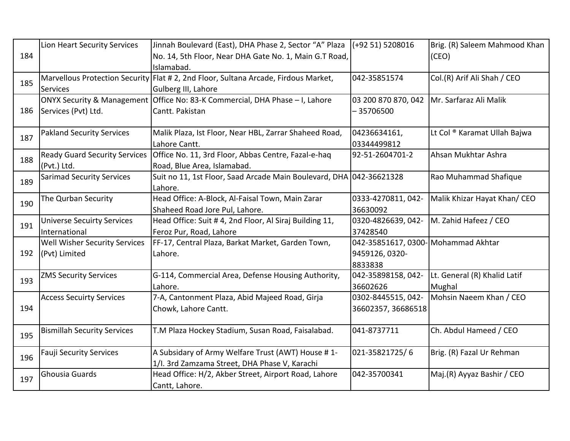|     | Lion Heart Security Services         | Jinnah Boulevard (East), DHA Phase 2, Sector "A" Plaza                              | $( +92 51) 5208016$                | Brig. (R) Saleem Mahmood Khan |
|-----|--------------------------------------|-------------------------------------------------------------------------------------|------------------------------------|-------------------------------|
| 184 |                                      | No. 14, 5th Floor, Near DHA Gate No. 1, Main G.T Road,                              |                                    | (CEO)                         |
|     |                                      | Islamabad.                                                                          |                                    |                               |
| 185 |                                      | Marvellous Protection Security Flat # 2, 2nd Floor, Sultana Arcade, Firdous Market, | 042-35851574                       | Col.(R) Arif Ali Shah / CEO   |
|     | <b>Services</b>                      | Gulberg III, Lahore                                                                 |                                    |                               |
|     |                                      | ONYX Security & Management Office No: 83-K Commercial, DHA Phase - I, Lahore        | 03 200 870 870, 042                | Mr. Sarfaraz Ali Malik        |
| 186 | Services (Pvt) Ltd.                  | Cantt. Pakistan                                                                     | $-35706500$                        |                               |
|     |                                      |                                                                                     |                                    |                               |
| 187 | <b>Pakland Security Services</b>     | Malik Plaza, Ist Floor, Near HBL, Zarrar Shaheed Road,                              | 04236634161,                       | Lt Col ® Karamat Ullah Bajwa  |
|     |                                      | Lahore Cantt.                                                                       | 03344499812                        |                               |
| 188 | <b>Ready Guard Security Services</b> | Office No. 11, 3rd Floor, Abbas Centre, Fazal-e-haq                                 | 92-51-2604701-2                    | Ahsan Mukhtar Ashra           |
|     | (Pvt.) Ltd.                          | Road, Blue Area, Islamabad.                                                         |                                    |                               |
| 189 | <b>Sarimad Security Services</b>     | Suit no 11, 1st Floor, Saad Arcade Main Boulevard, DHA 042-36621328                 |                                    | Rao Muhammad Shafique         |
|     |                                      | Lahore.                                                                             |                                    |                               |
| 190 | The Qurban Security                  | Head Office: A-Block, Al-Faisal Town, Main Zarar                                    | 0333-4270811, 042-                 | Malik Khizar Hayat Khan/ CEO  |
|     |                                      | Shaheed Road Jore Pul, Lahore.                                                      | 36630092                           |                               |
| 191 | <b>Universe Secuirty Services</b>    | Head Office: Suit #4, 2nd Floor, Al Siraj Building 11,                              | 0320-4826639, 042-                 | M. Zahid Hafeez / CEO         |
|     | International                        | Feroz Pur, Road, Lahore                                                             | 37428540                           |                               |
|     | Well Wisher Security Services        | FF-17, Central Plaza, Barkat Market, Garden Town,                                   | 042-35851617, 0300-Mohammad Akhtar |                               |
| 192 | (Pvt) Limited                        | Lahore.                                                                             | 9459126, 0320-                     |                               |
|     |                                      |                                                                                     | 8833838                            |                               |
| 193 | <b>ZMS Security Services</b>         | G-114, Commercial Area, Defense Housing Authority,                                  | 042-35898158, 042-                 | Lt. General (R) Khalid Latif  |
|     |                                      | Lahore.                                                                             | 36602626                           | Mughal                        |
|     | <b>Access Secuirty Services</b>      | 7-A, Cantonment Plaza, Abid Majeed Road, Girja                                      | 0302-8445515, 042-                 | Mohsin Naeem Khan / CEO       |
| 194 |                                      | Chowk, Lahore Cantt.                                                                | 36602357, 36686518                 |                               |
|     |                                      |                                                                                     |                                    |                               |
| 195 | <b>Bismillah Security Services</b>   | T.M Plaza Hockey Stadium, Susan Road, Faisalabad.                                   | 041-8737711                        | Ch. Abdul Hameed / CEO        |
|     |                                      |                                                                                     |                                    |                               |
| 196 | <b>Fauji Security Services</b>       | A Subsidary of Army Welfare Trust (AWT) House #1-                                   | 021-35821725/6                     | Brig. (R) Fazal Ur Rehman     |
|     |                                      | 1/I. 3rd Zamzama Street, DHA Phase V, Karachi                                       |                                    |                               |
| 197 | Ghousia Guards                       | Head Office: H/2, Akber Street, Airport Road, Lahore                                | 042-35700341                       | Maj.(R) Ayyaz Bashir / CEO    |
|     |                                      | Cantt, Lahore.                                                                      |                                    |                               |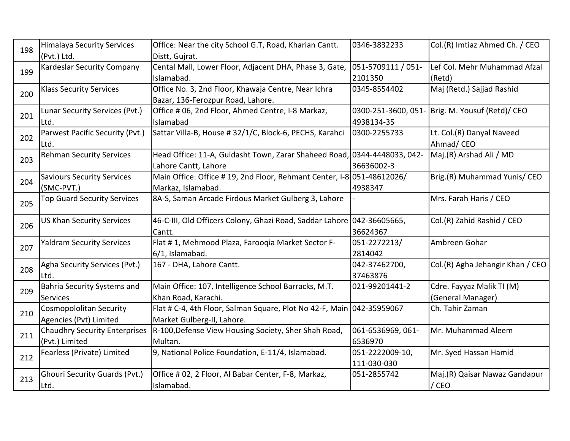| 198 | <b>Himalaya Security Services</b>    | Office: Near the city School G.T, Road, Kharian Cantt.                 | 0346-3832233       | Col.(R) Imtiaz Ahmed Ch. / CEO                  |
|-----|--------------------------------------|------------------------------------------------------------------------|--------------------|-------------------------------------------------|
|     | (Pvt.) Ltd.                          | Distt, Gujrat.                                                         |                    |                                                 |
| 199 | <b>Kardeslar Security Company</b>    | Cental Mall, Lower Floor, Adjacent DHA, Phase 3, Gate,                 | 051-5709111 / 051- | Lef Col. Mehr Muhammad Afzal                    |
|     |                                      | Islamabad.                                                             | 2101350            | (Retd)                                          |
| 200 | <b>Klass Security Services</b>       | Office No. 3, 2nd Floor, Khawaja Centre, Near Ichra                    | 0345-8554402       | Maj (Retd.) Sajjad Rashid                       |
|     |                                      | Bazar, 136-Ferozpur Road, Lahore.                                      |                    |                                                 |
| 201 | Lunar Security Services (Pvt.)       | Office # 06, 2nd Floor, Ahmed Centre, I-8 Markaz,                      |                    | 0300-251-3600, 051- Brig. M. Yousuf (Retd)/ CEO |
|     | Ltd.                                 | Islamabad                                                              | 4938134-35         |                                                 |
| 202 | Parwest Pacific Security (Pvt.)      | Sattar Villa-B, House # 32/1/C, Block-6, PECHS, Karahci                | 0300-2255733       | Lt. Col.(R) Danyal Naveed                       |
|     | Ltd.                                 |                                                                        |                    | Ahmad/CEO                                       |
| 203 | <b>Rehman Security Services</b>      | Head Office: 11-A, Guldasht Town, Zarar Shaheed Road,                  | 0344-4448033, 042- | Maj.(R) Arshad Ali / MD                         |
|     |                                      | Lahore Cantt, Lahore                                                   | 36636002-3         |                                                 |
| 204 | <b>Saviours Security Services</b>    | Main Office: Office #19, 2nd Floor, Rehmant Center, I-8 051-48612026/  |                    | Brig.(R) Muhammad Yunis/ CEO                    |
|     | (SMC-PVT.)                           | Markaz, Islamabad.                                                     | 4938347            |                                                 |
| 205 | <b>Top Guard Security Services</b>   | 8A-S, Saman Arcade Firdous Market Gulberg 3, Lahore                    |                    | Mrs. Farah Haris / CEO                          |
|     |                                      |                                                                        |                    |                                                 |
| 206 | <b>US Khan Security Services</b>     | 46-C-III, Old Officers Colony, Ghazi Road, Saddar Lahore 042-36605665, |                    | Col.(R) Zahid Rashid / CEO                      |
|     |                                      | Cantt.                                                                 | 36624367           |                                                 |
| 207 | <b>Yaldram Security Services</b>     | Flat #1, Mehmood Plaza, Farooqia Market Sector F-                      | 051-2272213/       | Ambreen Gohar                                   |
|     |                                      | 6/1, Islamabad.                                                        | 2814042            |                                                 |
| 208 | Agha Security Services (Pvt.)        | 167 - DHA, Lahore Cantt.                                               | 042-37462700,      | Col.(R) Agha Jehangir Khan / CEO                |
|     | Ltd.                                 |                                                                        | 37463876           |                                                 |
| 209 | Bahria Security Systems and          | Main Office: 107, Intelligence School Barracks, M.T.                   | 021-99201441-2     | Cdre. Fayyaz Malik TI (M)                       |
|     | <b>Services</b>                      | Khan Road, Karachi.                                                    |                    | (General Manager)                               |
| 210 | <b>Cosmopololitan Security</b>       | Flat # C-4, 4th Floor, Salman Square, Plot No 42-F, Main 042-35959067  |                    | Ch. Tahir Zaman                                 |
|     | Agencies (Pvt) Limited               | Market Gulberg-II, Lahore.                                             |                    |                                                 |
| 211 | <b>Chaudhry Security Enterprises</b> | R-100, Defense View Housing Society, Sher Shah Road,                   | 061-6536969, 061-  | Mr. Muhammad Aleem                              |
|     | (Pvt.) Limited                       | Multan.                                                                | 6536970            |                                                 |
| 212 | Fearless (Private) Limited           | 9, National Police Foundation, E-11/4, Islamabad.                      | 051-2222009-10,    | Mr. Syed Hassan Hamid                           |
|     |                                      |                                                                        | 111-030-030        |                                                 |
|     | <b>Ghouri Security Guards (Pvt.)</b> | Office # 02, 2 Floor, Al Babar Center, F-8, Markaz,                    | 051-2855742        | Maj.(R) Qaisar Nawaz Gandapur                   |
| 213 | Ltd.                                 | Islamabad.                                                             |                    | / CEO                                           |
|     |                                      |                                                                        |                    |                                                 |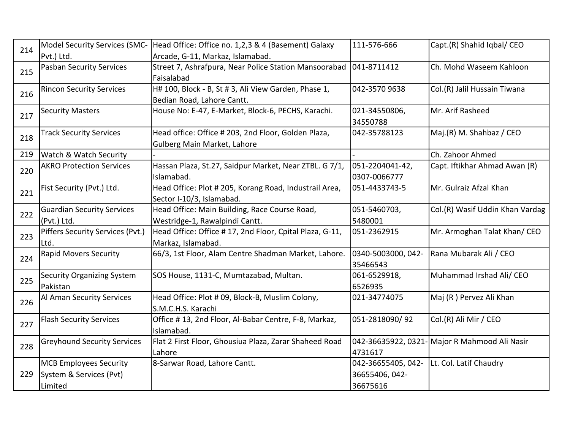| 214 | Model Security Services (SMC-      | Head Office: Office no. 1,2,3 & 4 (Basement) Galaxy     | 111-576-666        | Capt.(R) Shahid Iqbal/ CEO                    |
|-----|------------------------------------|---------------------------------------------------------|--------------------|-----------------------------------------------|
|     | Pvt.) Ltd.                         | Arcade, G-11, Markaz, Islamabad.                        |                    |                                               |
| 215 | <b>Pasban Security Services</b>    | Street 7, Ashrafpura, Near Police Station Mansoorabad   | 041-8711412        | Ch. Mohd Waseem Kahloon                       |
|     |                                    | Faisalabad                                              |                    |                                               |
| 216 | <b>Rincon Security Services</b>    | H# 100, Block - B, St # 3, Ali View Garden, Phase 1,    | 042-3570 9638      | Col.(R) Jalil Hussain Tiwana                  |
|     |                                    | Bedian Road, Lahore Cantt.                              |                    |                                               |
| 217 | <b>Security Masters</b>            | House No: E-47, E-Market, Block-6, PECHS, Karachi.      | 021-34550806,      | Mr. Arif Rasheed                              |
|     |                                    |                                                         | 34550788           |                                               |
| 218 | <b>Track Security Services</b>     | Head office: Office # 203, 2nd Floor, Golden Plaza,     | 042-35788123       | Maj.(R) M. Shahbaz / CEO                      |
|     |                                    | Gulberg Main Market, Lahore                             |                    |                                               |
| 219 | Watch & Watch Security             |                                                         |                    | Ch. Zahoor Ahmed                              |
|     | <b>AKRO Protection Services</b>    | Hassan Plaza, St.27, Saidpur Market, Near ZTBL. G 7/1,  | 051-2204041-42,    | Capt. Iftikhar Ahmad Awan (R)                 |
| 220 |                                    | Islamabad.                                              | 0307-0066777       |                                               |
| 221 | Fist Security (Pvt.) Ltd.          | Head Office: Plot # 205, Korang Road, Industrail Area,  | 051-4433743-5      | Mr. Gulraiz Afzal Khan                        |
|     |                                    | Sector I-10/3, Islamabad.                               |                    |                                               |
| 222 | <b>Guardian Security Services</b>  | Head Office: Main Building, Race Course Road,           | 051-5460703,       | Col.(R) Wasif Uddin Khan Vardag               |
|     | (Pvt.) Ltd.                        | Westridge-1, Rawalpindi Cantt.                          | 5480001            |                                               |
| 223 | Piffers Security Services (Pvt.)   | Head Office: Office #17, 2nd Floor, Cpital Plaza, G-11, | 051-2362915        | Mr. Armoghan Talat Khan/CEO                   |
|     | Ltd.                               | Markaz, Islamabad.                                      |                    |                                               |
| 224 | <b>Rapid Movers Security</b>       | 66/3, 1st Floor, Alam Centre Shadman Market, Lahore.    | 0340-5003000, 042- | Rana Mubarak Ali / CEO                        |
|     |                                    |                                                         | 35466543           |                                               |
| 225 | <b>Security Organizing System</b>  | SOS House, 1131-C, Mumtazabad, Multan.                  | 061-6529918,       | Muhammad Irshad Ali/ CEO                      |
|     | Pakistan                           |                                                         | 6526935            |                                               |
|     | Al Aman Security Services          | Head Office: Plot # 09, Block-B, Muslim Colony,         | 021-34774075       | Maj (R) Pervez Ali Khan                       |
| 226 |                                    | S.M.C.H.S. Karachi                                      |                    |                                               |
| 227 | <b>Flash Security Services</b>     | Office #13, 2nd Floor, Al-Babar Centre, F-8, Markaz,    | 051-2818090/92     | Col.(R) Ali Mir / CEO                         |
|     |                                    | Islamabad.                                              |                    |                                               |
| 228 | <b>Greyhound Security Services</b> | Flat 2 First Floor, Ghousiua Plaza, Zarar Shaheed Road  |                    | 042-36635922, 0321- Major R Mahmood Ali Nasir |
|     |                                    | Lahore                                                  | 4731617            |                                               |
|     | <b>MCB Employees Security</b>      | 8-Sarwar Road, Lahore Cantt.                            | 042-36655405, 042- | Lt. Col. Latif Chaudry                        |
| 229 | System & Services (Pvt)            |                                                         | 36655406, 042-     |                                               |
|     | Limited                            |                                                         | 36675616           |                                               |
|     |                                    |                                                         |                    |                                               |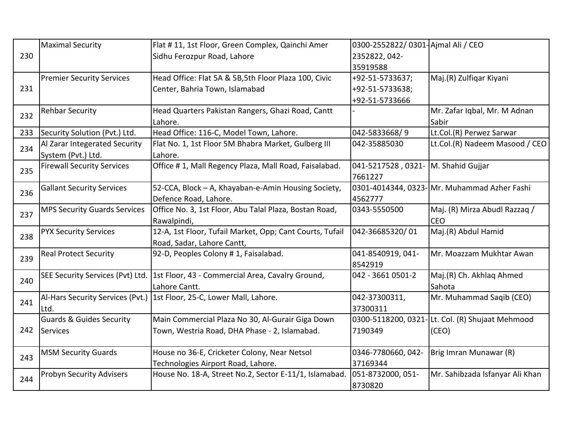|     | <b>Maximal Security</b>             | Flat #11, 1st Floor, Green Complex, Qainchi Amer         | 0300-2552822/ 0301- Ajmal Ali / CEO |                                                 |
|-----|-------------------------------------|----------------------------------------------------------|-------------------------------------|-------------------------------------------------|
| 230 |                                     | Sidhu Ferozpur Road, Lahore                              | 2352822, 042-                       |                                                 |
|     |                                     |                                                          | 35919588                            |                                                 |
|     | <b>Premier Security Services</b>    | Head Office: Flat 5A & 5B,5th Floor Plaza 100, Civic     | +92-51-5733637;                     | Maj.(R) Zulfigar Kiyani                         |
| 231 |                                     | Center, Bahria Town, Islamabad                           | +92-51-5733638;                     |                                                 |
|     |                                     |                                                          | +92-51-5733666                      |                                                 |
| 232 | <b>Rehbar Security</b>              | Head Quarters Pakistan Rangers, Ghazi Road, Cantt        |                                     | Mr. Zafar Iqbal, Mr. M Adnan                    |
|     |                                     | Lahore.                                                  |                                     | Sabir                                           |
| 233 | Security Solution (Pvt.) Ltd.       | Head Office: 116-C, Model Town, Lahore.                  | 042-5833668/9                       | Lt.Col.(R) Perwez Sarwar                        |
| 234 | Al Zarar Integerated Security       | Flat No. 1, 1st Floor 5M Bhabra Market, Gulberg III      | 042-35885030                        | Lt.Col.(R) Nadeem Masood / CEO                  |
|     | System (Pvt.) Ltd.                  | Lahore.                                                  |                                     |                                                 |
| 235 | <b>Firewall Security Services</b>   | Office #1, Mall Regency Plaza, Mall Road, Faisalabad.    | 041-5217528,0321-                   | M. Shahid Gujjar                                |
|     |                                     |                                                          | 7661227                             |                                                 |
| 236 | <b>Gallant Security Services</b>    | 52-CCA, Block - A, Khayaban-e-Amin Housing Society,      |                                     | 0301-4014344, 0323- Mr. Muhammad Azher Fashi    |
|     |                                     | Defence Road, Lahore.                                    | 4562777                             |                                                 |
| 237 | <b>MPS Security Guards Services</b> | Office No. 3, 1st Floor, Abu Talal Plaza, Bostan Road,   | 0343-5550500                        | Maj. (R) Mirza Abudl Razzaq /                   |
|     |                                     | Rawalpindi,                                              |                                     | <b>CEO</b>                                      |
| 238 | <b>PYX Security Services</b>        | 12-A, 1st Floor, Tufail Market, Opp; Cant Courts, Tufail | 042-36685320/01                     | Maj.(R) Abdul Hamid                             |
|     |                                     | Road, Sadar, Lahore Cantt,                               |                                     |                                                 |
| 239 | <b>Real Protect Security</b>        | 92-D, Peoples Colony # 1, Faisalabad.                    | 041-8540919, 041-                   | Mr. Moazzam Mukhtar Awan                        |
|     |                                     |                                                          | 8542919                             |                                                 |
| 240 | SEE Security Services (Pvt) Ltd.    | 1st Floor, 43 - Commercial Area, Cavalry Ground,         | 042 - 3661 0501-2                   | Maj.(R) Ch. Akhlaq Ahmed                        |
|     |                                     | Lahore Cantt.                                            |                                     | Sahota                                          |
| 241 | Al-Hars Security Services (Pvt.)    | 1st Floor, 25-C, Lower Mall, Lahore.                     | 042-37300311,                       | Mr. Muhammad Saqib (CEO)                        |
|     | Ltd.                                |                                                          | 37300311                            |                                                 |
|     | <b>Guards &amp; Guides Security</b> | Main Commercial Plaza No 30, Al-Gurair Giga Down         |                                     | 0300-5118200, 0321-Lt. Col. (R) Shujaat Mehmood |
| 242 | Services                            | Town, Westria Road, DHA Phase - 2, Islamabad.            | 7190349                             | (CEO)                                           |
|     |                                     |                                                          |                                     |                                                 |
| 243 | <b>MSM Security Guards</b>          | House no 36-E, Cricketer Colony, Near Netsol             | 0346-7780660, 042-                  | Brig Imran Munawar (R)                          |
|     |                                     | Technologies Airport Road, Lahore.                       | 37169344                            |                                                 |
| 244 | <b>Probyn Security Advisers</b>     | House No. 18-A, Street No.2, Sector E-11/1, Islamabad.   | 051-8732000, 051-                   | Mr. Sahibzada Isfanyar Ali Khan                 |
|     |                                     |                                                          | 8730820                             |                                                 |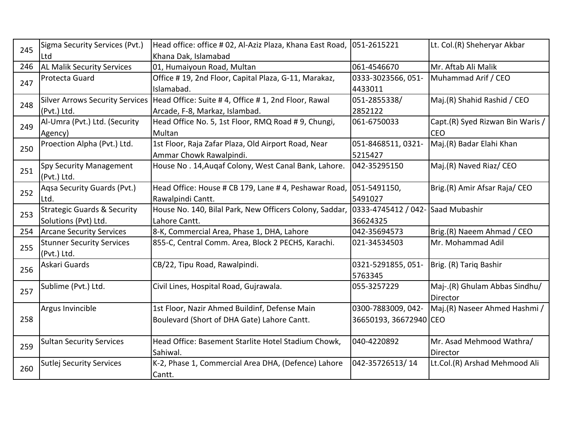| 245 | Sigma Security Services (Pvt.)         | Head office: office # 02, Al-Aziz Plaza, Khana East Road, | 051-2615221                       | Lt. Col.(R) Sheheryar Akbar      |
|-----|----------------------------------------|-----------------------------------------------------------|-----------------------------------|----------------------------------|
|     | Ltd                                    | Khana Dak, Islamabad                                      |                                   |                                  |
| 246 | <b>AL Malik Security Services</b>      | 01, Humaiyoun Road, Multan                                | 061-4546670                       | Mr. Aftab Ali Malik              |
| 247 | Protecta Guard                         | Office #19, 2nd Floor, Capital Plaza, G-11, Marakaz,      | 0333-3023566, 051-                | Muhammad Arif / CEO              |
|     |                                        | Islamabad.                                                | 4433011                           |                                  |
| 248 | <b>Silver Arrows Security Services</b> | Head Office: Suite #4, Office #1, 2nd Floor, Rawal        | 051-2855338/                      | Maj.(R) Shahid Rashid / CEO      |
|     | (Pvt.) Ltd.                            | Arcade, F-8, Markaz, Islambad.                            | 2852122                           |                                  |
| 249 | Al-Umra (Pvt.) Ltd. (Security          | Head Office No. 5, 1st Floor, RMQ Road #9, Chungi,        | 061-6750033                       | Capt.(R) Syed Rizwan Bin Waris / |
|     | Agency)                                | Multan                                                    |                                   | <b>CEO</b>                       |
| 250 | Proection Alpha (Pvt.) Ltd.            | 1st Floor, Raja Zafar Plaza, Old Airport Road, Near       | 051-8468511, 0321-                | Maj.(R) Badar Elahi Khan         |
|     |                                        | Ammar Chowk Rawalpindi.                                   | 5215427                           |                                  |
| 251 | Spy Security Management                | House No. 14, Augaf Colony, West Canal Bank, Lahore.      | 042-35295150                      | Maj.(R) Naved Riaz/ CEO          |
|     | (Pvt.) Ltd.                            |                                                           |                                   |                                  |
| 252 | Agsa Security Guards (Pvt.)            | Head Office: House # CB 179, Lane # 4, Peshawar Road,     | 051-5491150,                      | Brig.(R) Amir Afsar Raja/ CEO    |
|     | Ltd.                                   | Rawalpindi Cantt.                                         | 5491027                           |                                  |
| 253 | <b>Strategic Guards &amp; Security</b> | House No. 140, Bilal Park, New Officers Colony, Saddar,   | 0333-4745412 / 042- Saad Mubashir |                                  |
|     | Solutions (Pvt) Ltd.                   | Lahore Cantt.                                             | 36624325                          |                                  |
| 254 | <b>Arcane Security Services</b>        | 8-K, Commercial Area, Phase 1, DHA, Lahore                | 042-35694573                      | Brig.(R) Naeem Ahmad / CEO       |
| 255 | <b>Stunner Security Services</b>       | 855-C, Central Comm. Area, Block 2 PECHS, Karachi.        | 021-34534503                      | Mr. Mohammad Adil                |
|     | (Pvt.) Ltd.                            |                                                           |                                   |                                  |
| 256 | Askari Guards                          | CB/22, Tipu Road, Rawalpindi.                             | 0321-5291855, 051-                | Brig. (R) Tariq Bashir           |
|     |                                        |                                                           | 5763345                           |                                  |
| 257 | Sublime (Pvt.) Ltd.                    | Civil Lines, Hospital Road, Gujrawala.                    | 055-3257229                       | Maj-.(R) Ghulam Abbas Sindhu/    |
|     |                                        |                                                           |                                   | Director                         |
|     | Argus Invincible                       | 1st Floor, Nazir Ahmed Buildinf, Defense Main             | 0300-7883009, 042-                | Maj.(R) Naseer Ahmed Hashmi /    |
| 258 |                                        | Boulevard (Short of DHA Gate) Lahore Cantt.               | 36650193, 36672940 CEO            |                                  |
|     |                                        |                                                           |                                   |                                  |
| 259 | <b>Sultan Security Services</b>        | Head Office: Basement Starlite Hotel Stadium Chowk,       | 040-4220892                       | Mr. Asad Mehmood Wathra/         |
|     |                                        | Sahiwal.                                                  |                                   | Director                         |
| 260 | <b>Sutlej Security Services</b>        | K-2, Phase 1, Commercial Area DHA, (Defence) Lahore       | 042-35726513/14                   | Lt.Col.(R) Arshad Mehmood Ali    |
|     |                                        | Cantt.                                                    |                                   |                                  |